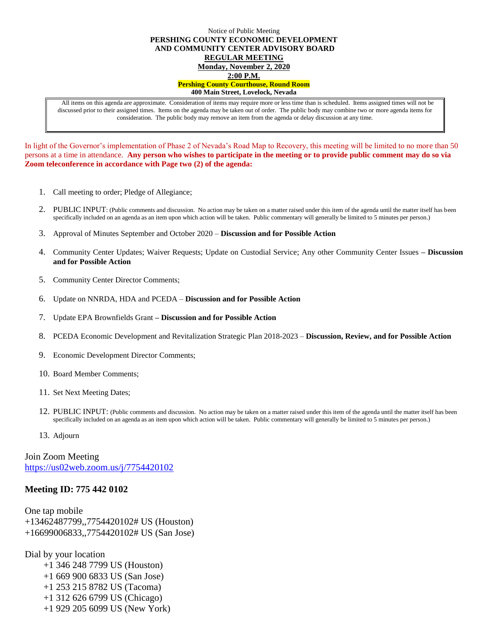## Notice of Public Meeting **PERSHING COUNTY ECONOMIC DEVELOPMENT AND COMMUNITY CENTER ADVISORY BOARD REGULAR MEETING Monday, November 2, 2020 2:00 P.M. Pershing County Courthouse, Round Room 400 Main Street, Lovelock, Nevada**

All items on this agenda are approximate. Consideration of items may require more or less time than is scheduled. Items assigned times will not be discussed prior to their assigned times. Items on the agenda may be taken out of order. The public body may combine two or more agenda items for consideration. The public body may remove an item from the agenda or delay discussion at any time.

In light of the Governor's implementation of Phase 2 of Nevada's Road Map to Recovery, this meeting will be limited to no more than 50 persons at a time in attendance. **Any person who wishes to participate in the meeting or to provide public comment may do so via Zoom teleconference in accordance with Page two (2) of the agenda:** 

- 1. Call meeting to order; Pledge of Allegiance;
- 2. PUBLIC INPUT: (Public comments and discussion. No action may be taken on a matter raised under this item of the agenda until the matter itself has been specifically included on an agenda as an item upon which action will be taken. Public commentary will generally be limited to 5 minutes per person.)
- 3. Approval of Minutes September and October 2020 **Discussion and for Possible Action**
- 4. Community Center Updates; Waiver Requests; Update on Custodial Service; Any other Community Center Issues **– Discussion and for Possible Action**
- 5. Community Center Director Comments;
- 6. Update on NNRDA, HDA and PCEDA **Discussion and for Possible Action**
- 7. Update EPA Brownfields Grant **– Discussion and for Possible Action**
- 8. PCEDA Economic Development and Revitalization Strategic Plan 2018-2023 **Discussion, Review, and for Possible Action**
- 9. Economic Development Director Comments;
- 10. Board Member Comments;
- 11. Set Next Meeting Dates;
- 12. PUBLIC INPUT: (Public comments and discussion. No action may be taken on a matter raised under this item of the agenda until the matter itself has been specifically included on an agenda as an item upon which action will be taken. Public commentary will generally be limited to 5 minutes per person.)
- 13. Adjourn

Join Zoom Meeting <https://us02web.zoom.us/j/7754420102>

## **Meeting ID: 775 442 0102**

One tap mobile +13462487799,,7754420102# US (Houston) +16699006833,,7754420102# US (San Jose)

Dial by your location

- +1 346 248 7799 US (Houston) +1 669 900 6833 US (San Jose) +1 253 215 8782 US (Tacoma) +1 312 626 6799 US (Chicago)
- +1 929 205 6099 US (New York)